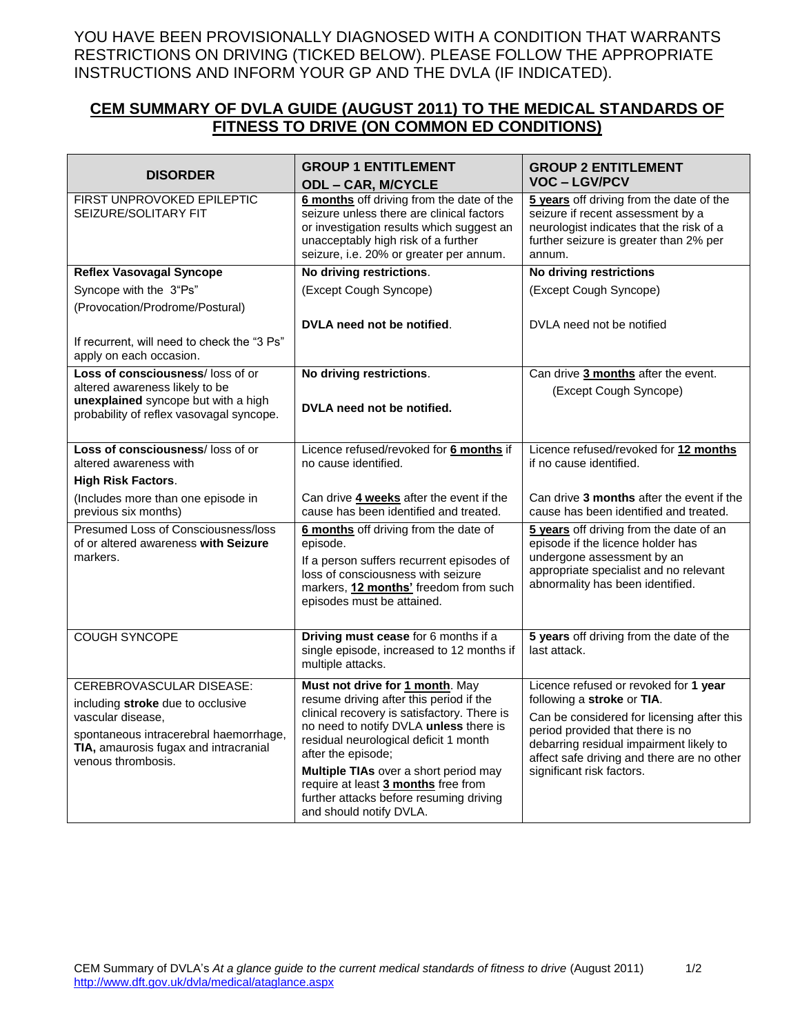YOU HAVE BEEN PROVISIONALLY DIAGNOSED WITH A CONDITION THAT WARRANTS RESTRICTIONS ON DRIVING (TICKED BELOW). PLEASE FOLLOW THE APPROPRIATE INSTRUCTIONS AND INFORM YOUR GP AND THE DVLA (IF INDICATED).

## **CEM SUMMARY OF DVLA GUIDE (AUGUST 2011) TO THE MEDICAL STANDARDS OF FITNESS TO DRIVE (ON COMMON ED CONDITIONS)**

| <b>DISORDER</b>                                                        | <b>GROUP 1 ENTITLEMENT</b><br><b>ODL - CAR, M/CYCLE</b>                                                                                                                                                               | <b>GROUP 2 ENTITLEMENT</b><br><b>VOC-LGV/PCV</b>                                                                                                                              |
|------------------------------------------------------------------------|-----------------------------------------------------------------------------------------------------------------------------------------------------------------------------------------------------------------------|-------------------------------------------------------------------------------------------------------------------------------------------------------------------------------|
| <b>FIRST UNPROVOKED EPILEPTIC</b><br>SEIZURE/SOLITARY FIT              | 6 months off driving from the date of the<br>seizure unless there are clinical factors<br>or investigation results which suggest an<br>unacceptably high risk of a further<br>seizure, i.e. 20% or greater per annum. | 5 years off driving from the date of the<br>seizure if recent assessment by a<br>neurologist indicates that the risk of a<br>further seizure is greater than 2% per<br>annum. |
| <b>Reflex Vasovagal Syncope</b>                                        | No driving restrictions.                                                                                                                                                                                              | <b>No driving restrictions</b>                                                                                                                                                |
| Syncope with the 3"Ps"                                                 | (Except Cough Syncope)                                                                                                                                                                                                | (Except Cough Syncope)                                                                                                                                                        |
| (Provocation/Prodrome/Postural)                                        |                                                                                                                                                                                                                       |                                                                                                                                                                               |
|                                                                        | DVLA need not be notified.                                                                                                                                                                                            | DVLA need not be notified                                                                                                                                                     |
| If recurrent, will need to check the "3 Ps"<br>apply on each occasion. |                                                                                                                                                                                                                       |                                                                                                                                                                               |
| Loss of consciousness/loss of or                                       | No driving restrictions.                                                                                                                                                                                              | Can drive 3 months after the event.                                                                                                                                           |
| altered awareness likely to be<br>unexplained syncope but with a high  |                                                                                                                                                                                                                       | (Except Cough Syncope)                                                                                                                                                        |
| probability of reflex vasovagal syncope.                               | DVLA need not be notified.                                                                                                                                                                                            |                                                                                                                                                                               |
|                                                                        |                                                                                                                                                                                                                       |                                                                                                                                                                               |
| Loss of consciousness/loss of or<br>altered awareness with             | Licence refused/revoked for 6 months if<br>no cause identified.                                                                                                                                                       | Licence refused/revoked for 12 months<br>if no cause identified.                                                                                                              |
| <b>High Risk Factors.</b>                                              |                                                                                                                                                                                                                       |                                                                                                                                                                               |
| (Includes more than one episode in<br>previous six months)             | Can drive 4 weeks after the event if the<br>cause has been identified and treated.                                                                                                                                    | Can drive 3 months after the event if the<br>cause has been identified and treated.                                                                                           |
| Presumed Loss of Consciousness/loss                                    | 6 months off driving from the date of                                                                                                                                                                                 | 5 years off driving from the date of an                                                                                                                                       |
| of or altered awareness with Seizure<br>markers.                       | episode.                                                                                                                                                                                                              | episode if the licence holder has<br>undergone assessment by an                                                                                                               |
|                                                                        | If a person suffers recurrent episodes of<br>loss of consciousness with seizure                                                                                                                                       | appropriate specialist and no relevant                                                                                                                                        |
|                                                                        | markers, 12 months' freedom from such                                                                                                                                                                                 | abnormality has been identified.                                                                                                                                              |
|                                                                        | episodes must be attained.                                                                                                                                                                                            |                                                                                                                                                                               |
|                                                                        |                                                                                                                                                                                                                       |                                                                                                                                                                               |
| <b>COUGH SYNCOPE</b>                                                   | Driving must cease for 6 months if a<br>single episode, increased to 12 months if                                                                                                                                     | 5 years off driving from the date of the<br>last attack.                                                                                                                      |
|                                                                        | multiple attacks.                                                                                                                                                                                                     |                                                                                                                                                                               |
| CEREBROVASCULAR DISEASE:                                               | Must not drive for 1 month. May                                                                                                                                                                                       | Licence refused or revoked for 1 year                                                                                                                                         |
| including stroke due to occlusive                                      | resume driving after this period if the                                                                                                                                                                               | following a stroke or TIA.                                                                                                                                                    |
| vascular disease,                                                      | clinical recovery is satisfactory. There is                                                                                                                                                                           | Can be considered for licensing after this                                                                                                                                    |
| spontaneous intracerebral haemorrhage,                                 | no need to notify DVLA unless there is<br>residual neurological deficit 1 month                                                                                                                                       | period provided that there is no                                                                                                                                              |
| TIA, amaurosis fugax and intracranial                                  | after the episode;                                                                                                                                                                                                    | debarring residual impairment likely to<br>affect safe driving and there are no other                                                                                         |
| venous thrombosis.                                                     | Multiple TIAs over a short period may                                                                                                                                                                                 | significant risk factors.                                                                                                                                                     |
|                                                                        | require at least 3 months free from                                                                                                                                                                                   |                                                                                                                                                                               |
|                                                                        | further attacks before resuming driving<br>and should notify DVLA.                                                                                                                                                    |                                                                                                                                                                               |
|                                                                        |                                                                                                                                                                                                                       |                                                                                                                                                                               |